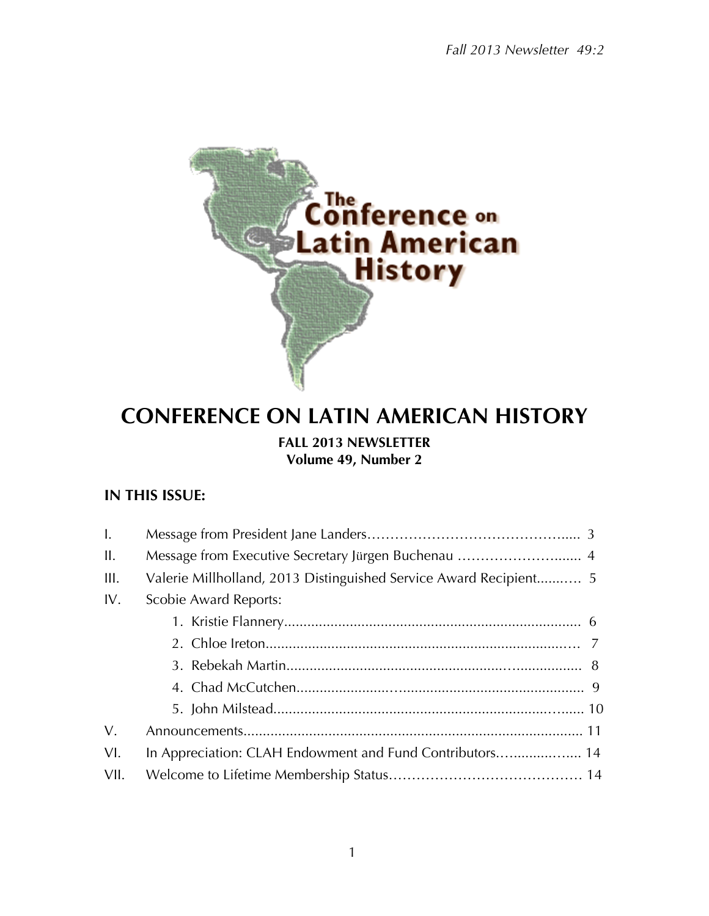

# **CONFERENCE ON LATIN AMERICAN HISTORY**

# **FALL 2013 NEWSLETTER Volume 49, Number 2**

# **IN THIS ISSUE:**

| $\mathbf{I}$ . |                                                          |  |  |
|----------------|----------------------------------------------------------|--|--|
| II.            |                                                          |  |  |
| III.           |                                                          |  |  |
| IV.            | Scobie Award Reports:                                    |  |  |
|                |                                                          |  |  |
|                |                                                          |  |  |
|                |                                                          |  |  |
|                |                                                          |  |  |
|                |                                                          |  |  |
| $V_{\cdot}$    |                                                          |  |  |
| VI.            | In Appreciation: CLAH Endowment and Fund Contributors 14 |  |  |
| VII.           |                                                          |  |  |
|                |                                                          |  |  |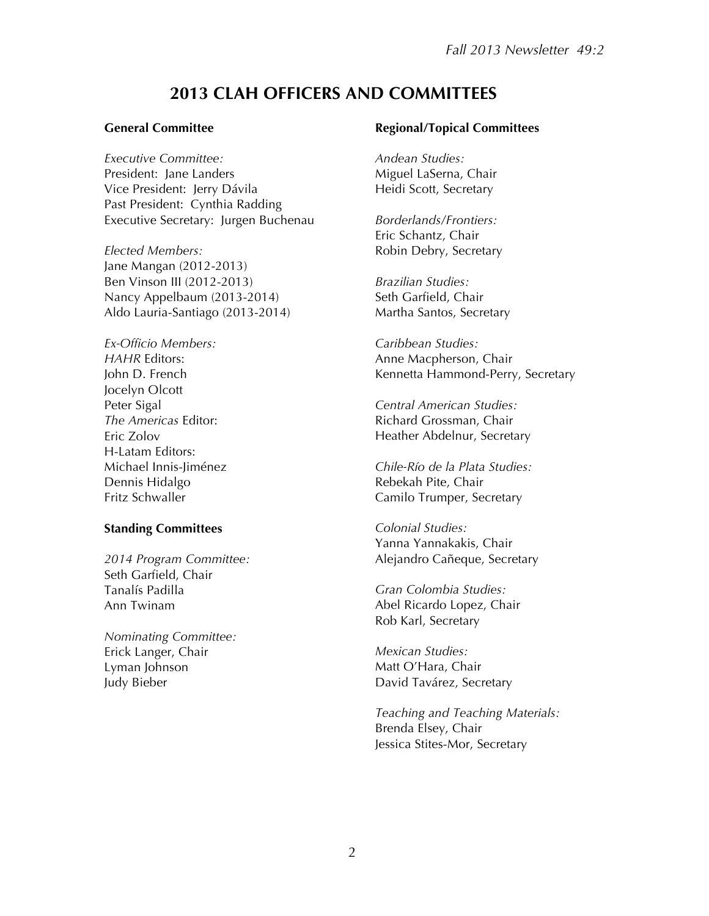# **2013 CLAH OFFICERS AND COMMITTEES**

#### **General Committee**

*Executive Committee:* President: Jane Landers Vice President: Jerry Dávila Past President: Cynthia Radding Executive Secretary: Jurgen Buchenau

*Elected Members:* Jane Mangan (2012-2013) Ben Vinson III (2012-2013) Nancy Appelbaum (2013-2014) Aldo Lauria-Santiago (2013-2014)

*Ex-Officio Members: HAHR* Editors: John D. French Jocelyn Olcott Peter Sigal *The Americas* Editor: Eric Zolov H-Latam Editors: Michael Innis-Jiménez Dennis Hidalgo Fritz Schwaller

#### **Standing Committees**

*2014 Program Committee:* Seth Garfield, Chair Tanalís Padilla Ann Twinam

*Nominating Committee:* Erick Langer, Chair Lyman Johnson Judy Bieber

#### **Regional/Topical Committees**

*Andean Studies:* Miguel LaSerna, Chair Heidi Scott, Secretary

*Borderlands/Frontiers:* Eric Schantz, Chair Robin Debry, Secretary

*Brazilian Studies:* Seth Garfield, Chair Martha Santos, Secretary

*Caribbean Studies:* Anne Macpherson, Chair Kennetta Hammond-Perry, Secretary

*Central American Studies:* Richard Grossman, Chair Heather Abdelnur, Secretary

*Chile-Río de la Plata Studies:* Rebekah Pite, Chair Camilo Trumper, Secretary

*Colonial Studies:* Yanna Yannakakis, Chair Alejandro Cañeque, Secretary

*Gran Colombia Studies:* Abel Ricardo Lopez, Chair Rob Karl, Secretary

*Mexican Studies:* Matt O'Hara, Chair David Tavárez, Secretary

*Teaching and Teaching Materials:* Brenda Elsey, Chair Jessica Stites-Mor, Secretary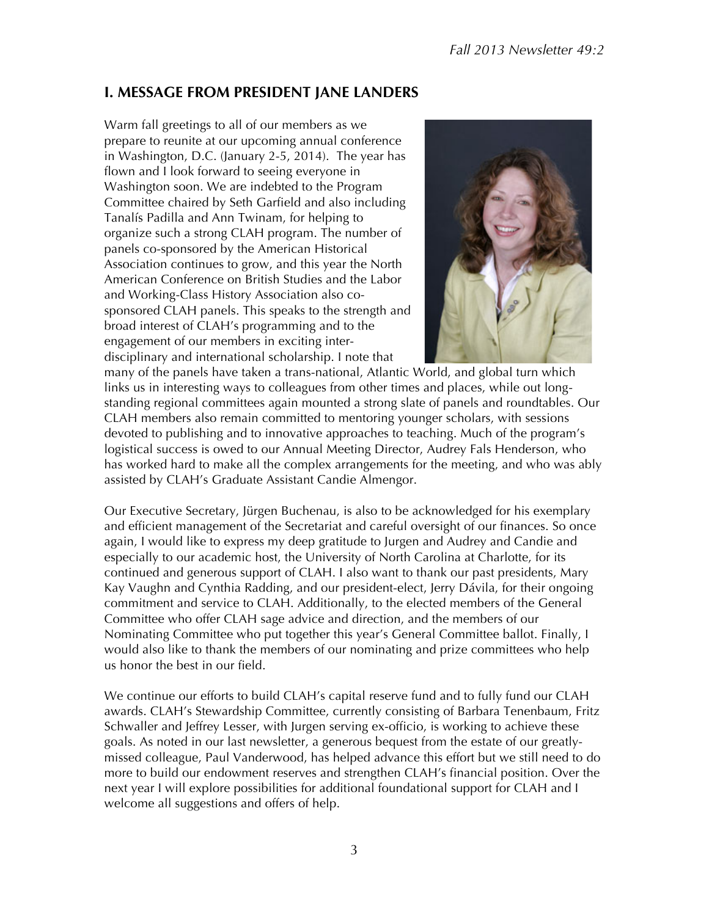# **I. MESSAGE FROM PRESIDENT JANE LANDERS**

Warm fall greetings to all of our members as we prepare to reunite at our upcoming annual conference in Washington, D.C. (January 2-5, 2014). The year has flown and I look forward to seeing everyone in Washington soon. We are indebted to the Program Committee chaired by Seth Garfield and also including Tanalís Padilla and Ann Twinam, for helping to organize such a strong CLAH program. The number of panels co-sponsored by the American Historical Association continues to grow, and this year the North American Conference on British Studies and the Labor and Working-Class History Association also cosponsored CLAH panels. This speaks to the strength and broad interest of CLAH's programming and to the engagement of our members in exciting interdisciplinary and international scholarship. I note that



many of the panels have taken a trans-national, Atlantic World, and global turn which links us in interesting ways to colleagues from other times and places, while out longstanding regional committees again mounted a strong slate of panels and roundtables. Our CLAH members also remain committed to mentoring younger scholars, with sessions devoted to publishing and to innovative approaches to teaching. Much of the program's logistical success is owed to our Annual Meeting Director, Audrey Fals Henderson, who has worked hard to make all the complex arrangements for the meeting, and who was ably assisted by CLAH's Graduate Assistant Candie Almengor.

Our Executive Secretary, Jürgen Buchenau, is also to be acknowledged for his exemplary and efficient management of the Secretariat and careful oversight of our finances. So once again, I would like to express my deep gratitude to Jurgen and Audrey and Candie and especially to our academic host, the University of North Carolina at Charlotte, for its continued and generous support of CLAH. I also want to thank our past presidents, Mary Kay Vaughn and Cynthia Radding, and our president-elect, Jerry Dávila, for their ongoing commitment and service to CLAH. Additionally, to the elected members of the General Committee who offer CLAH sage advice and direction, and the members of our Nominating Committee who put together this year's General Committee ballot. Finally, I would also like to thank the members of our nominating and prize committees who help us honor the best in our field.

We continue our efforts to build CLAH's capital reserve fund and to fully fund our CLAH awards. CLAH's Stewardship Committee, currently consisting of Barbara Tenenbaum, Fritz Schwaller and Jeffrey Lesser, with Jurgen serving ex-officio, is working to achieve these goals. As noted in our last newsletter, a generous bequest from the estate of our greatlymissed colleague, Paul Vanderwood, has helped advance this effort but we still need to do more to build our endowment reserves and strengthen CLAH's financial position. Over the next year I will explore possibilities for additional foundational support for CLAH and I welcome all suggestions and offers of help.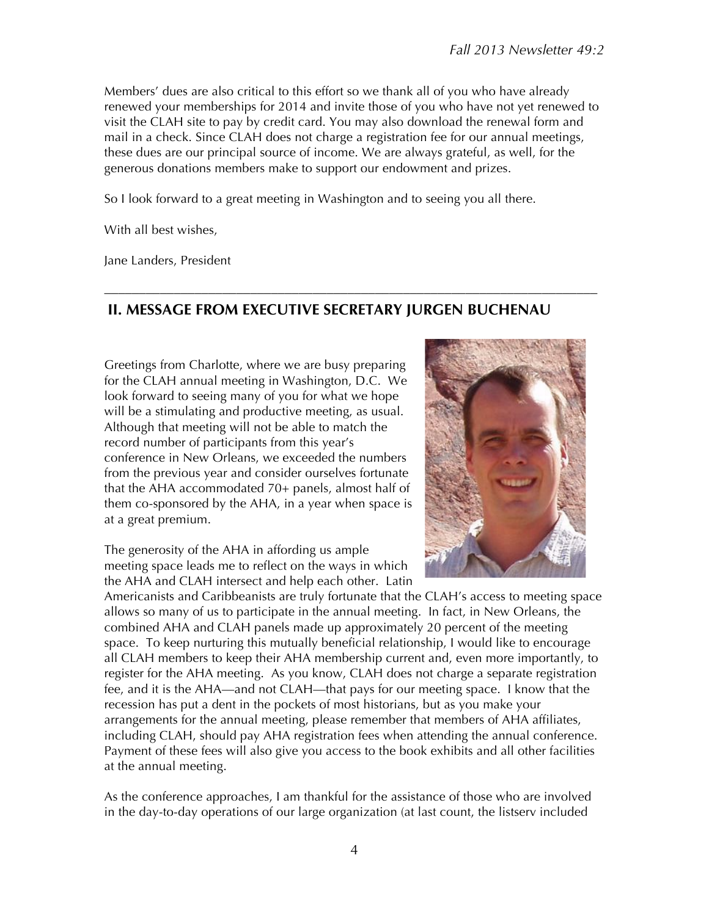Members' dues are also critical to this effort so we thank all of you who have already renewed your memberships for 2014 and invite those of you who have not yet renewed to visit the CLAH site to pay by credit card. You may also download the renewal form and mail in a check. Since CLAH does not charge a registration fee for our annual meetings, these dues are our principal source of income. We are always grateful, as well, for the generous donations members make to support our endowment and prizes.

So I look forward to a great meeting in Washington and to seeing you all there.

With all best wishes,

Jane Landers, President

# **II. MESSAGE FROM EXECUTIVE SECRETARY JURGEN BUCHENAU**

–––––––––––––––––––––––––––––––––––––––––––––––––––––––––––––––––––––––

Greetings from Charlotte, where we are busy preparing for the CLAH annual meeting in Washington, D.C. We look forward to seeing many of you for what we hope will be a stimulating and productive meeting, as usual. Although that meeting will not be able to match the record number of participants from this year's conference in New Orleans, we exceeded the numbers from the previous year and consider ourselves fortunate that the AHA accommodated 70+ panels, almost half of them co-sponsored by the AHA, in a year when space is at a great premium.

The generosity of the AHA in affording us ample meeting space leads me to reflect on the ways in which the AHA and CLAH intersect and help each other. Latin



Americanists and Caribbeanists are truly fortunate that the CLAH's access to meeting space allows so many of us to participate in the annual meeting. In fact, in New Orleans, the combined AHA and CLAH panels made up approximately 20 percent of the meeting space. To keep nurturing this mutually beneficial relationship, I would like to encourage all CLAH members to keep their AHA membership current and, even more importantly, to register for the AHA meeting. As you know, CLAH does not charge a separate registration fee, and it is the AHA—and not CLAH—that pays for our meeting space. I know that the recession has put a dent in the pockets of most historians, but as you make your arrangements for the annual meeting, please remember that members of AHA affiliates, including CLAH, should pay AHA registration fees when attending the annual conference. Payment of these fees will also give you access to the book exhibits and all other facilities at the annual meeting.

As the conference approaches, I am thankful for the assistance of those who are involved in the day-to-day operations of our large organization (at last count, the listserv included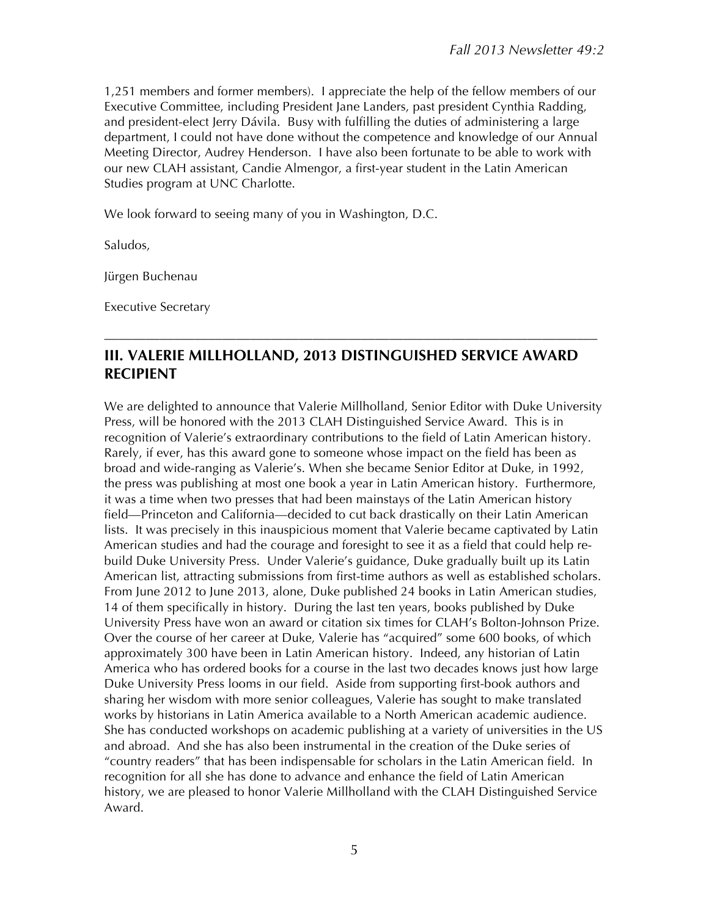1,251 members and former members). I appreciate the help of the fellow members of our Executive Committee, including President Jane Landers, past president Cynthia Radding, and president-elect Jerry Dávila. Busy with fulfilling the duties of administering a large department, I could not have done without the competence and knowledge of our Annual Meeting Director, Audrey Henderson. I have also been fortunate to be able to work with our new CLAH assistant, Candie Almengor, a first-year student in the Latin American Studies program at UNC Charlotte.

We look forward to seeing many of you in Washington, D.C.

Saludos,

Jürgen Buchenau

Executive Secretary

# **III. VALERIE MILLHOLLAND, 2013 DISTINGUISHED SERVICE AWARD RECIPIENT**

–––––––––––––––––––––––––––––––––––––––––––––––––––––––––––––––––––––––

We are delighted to announce that Valerie Millholland, Senior Editor with Duke University Press, will be honored with the 2013 CLAH Distinguished Service Award. This is in recognition of Valerie's extraordinary contributions to the field of Latin American history. Rarely, if ever, has this award gone to someone whose impact on the field has been as broad and wide-ranging as Valerie's. When she became Senior Editor at Duke, in 1992, the press was publishing at most one book a year in Latin American history. Furthermore, it was a time when two presses that had been mainstays of the Latin American history field—Princeton and California—decided to cut back drastically on their Latin American lists. It was precisely in this inauspicious moment that Valerie became captivated by Latin American studies and had the courage and foresight to see it as a field that could help rebuild Duke University Press. Under Valerie's guidance, Duke gradually built up its Latin American list, attracting submissions from first-time authors as well as established scholars. From June 2012 to June 2013, alone, Duke published 24 books in Latin American studies, 14 of them specifically in history. During the last ten years, books published by Duke University Press have won an award or citation six times for CLAH's Bolton-Johnson Prize. Over the course of her career at Duke, Valerie has "acquired" some 600 books, of which approximately 300 have been in Latin American history. Indeed, any historian of Latin America who has ordered books for a course in the last two decades knows just how large Duke University Press looms in our field. Aside from supporting first-book authors and sharing her wisdom with more senior colleagues, Valerie has sought to make translated works by historians in Latin America available to a North American academic audience. She has conducted workshops on academic publishing at a variety of universities in the US and abroad. And she has also been instrumental in the creation of the Duke series of "country readers" that has been indispensable for scholars in the Latin American field. In recognition for all she has done to advance and enhance the field of Latin American history, we are pleased to honor Valerie Millholland with the CLAH Distinguished Service Award.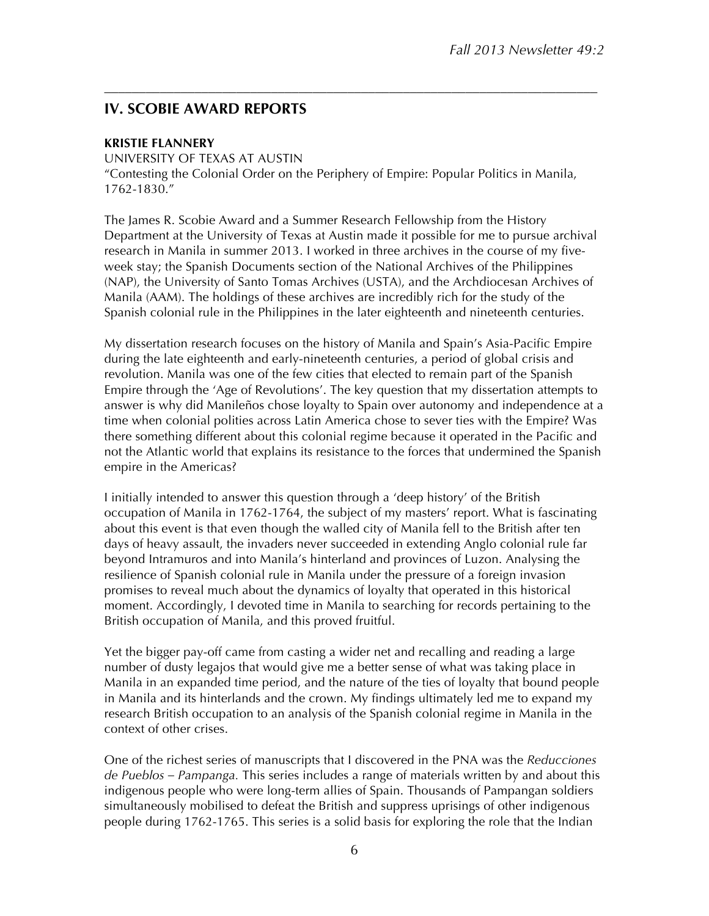# **IV. SCOBIE AWARD REPORTS**

#### **KRISTIE FLANNERY**

UNIVERSITY OF TEXAS AT AUSTIN "Contesting the Colonial Order on the Periphery of Empire: Popular Politics in Manila, 1762-1830."

–––––––––––––––––––––––––––––––––––––––––––––––––––––––––––––––––––––––

The James R. Scobie Award and a Summer Research Fellowship from the History Department at the University of Texas at Austin made it possible for me to pursue archival research in Manila in summer 2013. I worked in three archives in the course of my fiveweek stay; the Spanish Documents section of the National Archives of the Philippines (NAP), the University of Santo Tomas Archives (USTA), and the Archdiocesan Archives of Manila (AAM). The holdings of these archives are incredibly rich for the study of the Spanish colonial rule in the Philippines in the later eighteenth and nineteenth centuries.

My dissertation research focuses on the history of Manila and Spain's Asia-Pacific Empire during the late eighteenth and early-nineteenth centuries, a period of global crisis and revolution. Manila was one of the few cities that elected to remain part of the Spanish Empire through the 'Age of Revolutions'. The key question that my dissertation attempts to answer is why did Manileños chose loyalty to Spain over autonomy and independence at a time when colonial polities across Latin America chose to sever ties with the Empire? Was there something different about this colonial regime because it operated in the Pacific and not the Atlantic world that explains its resistance to the forces that undermined the Spanish empire in the Americas?

I initially intended to answer this question through a 'deep history' of the British occupation of Manila in 1762-1764, the subject of my masters' report. What is fascinating about this event is that even though the walled city of Manila fell to the British after ten days of heavy assault, the invaders never succeeded in extending Anglo colonial rule far beyond Intramuros and into Manila's hinterland and provinces of Luzon. Analysing the resilience of Spanish colonial rule in Manila under the pressure of a foreign invasion promises to reveal much about the dynamics of loyalty that operated in this historical moment. Accordingly, I devoted time in Manila to searching for records pertaining to the British occupation of Manila, and this proved fruitful.

Yet the bigger pay-off came from casting a wider net and recalling and reading a large number of dusty legajos that would give me a better sense of what was taking place in Manila in an expanded time period, and the nature of the ties of loyalty that bound people in Manila and its hinterlands and the crown. My findings ultimately led me to expand my research British occupation to an analysis of the Spanish colonial regime in Manila in the context of other crises.

One of the richest series of manuscripts that I discovered in the PNA was the *Reducciones de Pueblos – Pampanga.* This series includes a range of materials written by and about this indigenous people who were long-term allies of Spain. Thousands of Pampangan soldiers simultaneously mobilised to defeat the British and suppress uprisings of other indigenous people during 1762-1765. This series is a solid basis for exploring the role that the Indian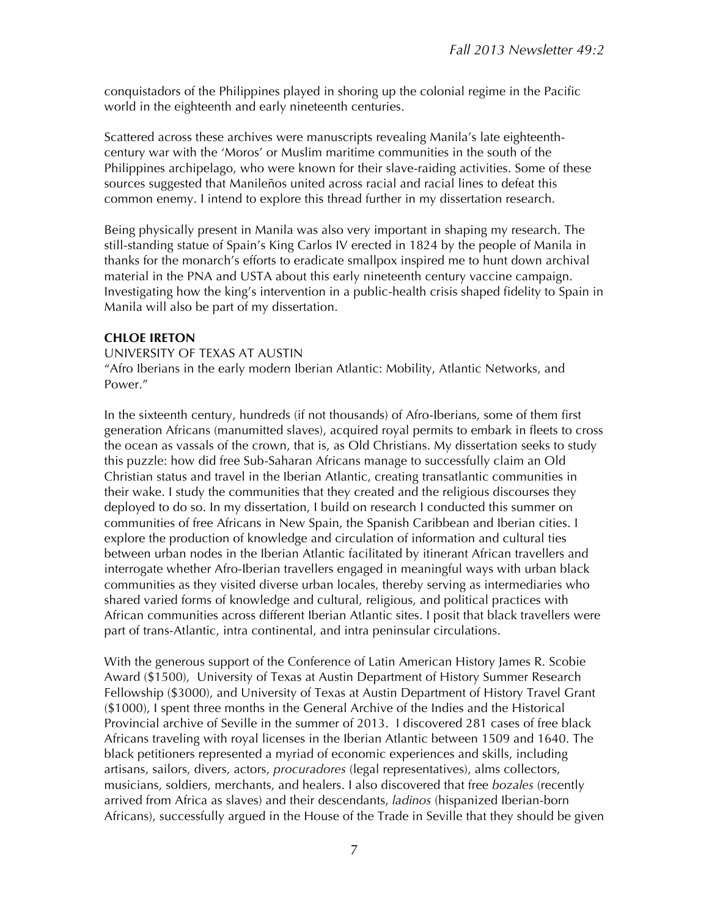conquistadors of the Philippines played in shoring up the colonial regime in the Pacific world in the eighteenth and early nineteenth centuries.

Scattered across these archives were manuscripts revealing Manila's late eighteenthcentury war with the 'Moros' or Muslim maritime communities in the south of the Philippines archipelago, who were known for their slave-raiding activities. Some of these sources suggested that Manileños united across racial and racial lines to defeat this common enemy. I intend to explore this thread further in my dissertation research.

Being physically present in Manila was also very important in shaping my research. The still-standing statue of Spain's King Carlos IV erected in 1824 by the people of Manila in thanks for the monarch's efforts to eradicate smallpox inspired me to hunt down archival material in the PNA and USTA about this early nineteenth century vaccine campaign. Investigating how the king's intervention in a public-health crisis shaped fidelity to Spain in Manila will also be part of my dissertation.

#### **CHLOE IRETON**

UNIVERSITY OF TEXAS AT AUSTIN "Afro Iberians in the early modern Iberian Atlantic: Mobility, Atlantic Networks, and Power."

In the sixteenth century, hundreds (if not thousands) of Afro-Iberians, some of them first generation Africans (manumitted slaves), acquired royal permits to embark in fleets to cross the ocean as vassals of the crown, that is, as Old Christians. My dissertation seeks to study this puzzle: how did free Sub-Saharan Africans manage to successfully claim an Old Christian status and travel in the Iberian Atlantic, creating transatlantic communities in their wake. I study the communities that they created and the religious discourses they deployed to do so. In my dissertation, I build on research I conducted this summer on communities of free Africans in New Spain, the Spanish Caribbean and Iberian cities. I explore the production of knowledge and circulation of information and cultural ties between urban nodes in the Iberian Atlantic facilitated by itinerant African travellers and interrogate whether Afro-Iberian travellers engaged in meaningful ways with urban black communities as they visited diverse urban locales, thereby serving as intermediaries who shared varied forms of knowledge and cultural, religious, and political practices with African communities across different Iberian Atlantic sites. I posit that black travellers were part of trans-Atlantic, intra continental, and intra peninsular circulations.

With the generous support of the Conference of Latin American History James R. Scobie Award (\$1500), University of Texas at Austin Department of History Summer Research Fellowship (\$3000), and University of Texas at Austin Department of History Travel Grant (\$1000), I spent three months in the General Archive of the Indies and the Historical Provincial archive of Seville in the summer of 2013. I discovered 281 cases of free black Africans traveling with royal licenses in the Iberian Atlantic between 1509 and 1640. The black petitioners represented a myriad of economic experiences and skills, including artisans, sailors, divers, actors, *procuradores* (legal representatives), alms collectors, musicians, soldiers, merchants, and healers. I also discovered that free *bozales* (recently arrived from Africa as slaves) and their descendants, *ladinos* (hispanized Iberian-born Africans), successfully argued in the House of the Trade in Seville that they should be given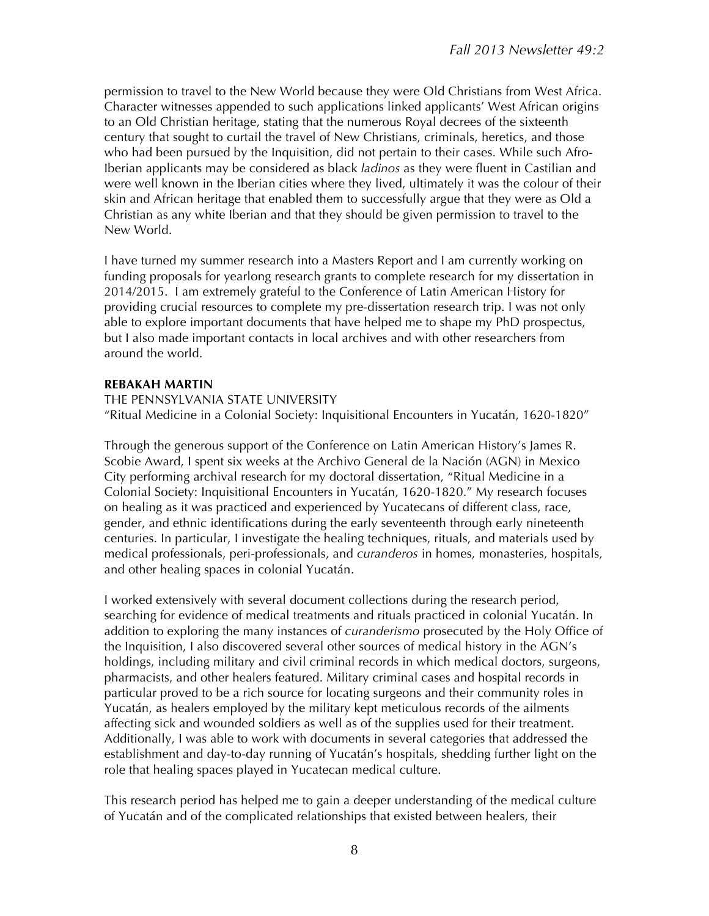permission to travel to the New World because they were Old Christians from West Africa. Character witnesses appended to such applications linked applicants' West African origins to an Old Christian heritage, stating that the numerous Royal decrees of the sixteenth century that sought to curtail the travel of New Christians, criminals, heretics, and those who had been pursued by the Inquisition, did not pertain to their cases. While such Afro-Iberian applicants may be considered as black *ladinos* as they were fluent in Castilian and were well known in the Iberian cities where they lived, ultimately it was the colour of their skin and African heritage that enabled them to successfully argue that they were as Old a Christian as any white Iberian and that they should be given permission to travel to the New World.

I have turned my summer research into a Masters Report and I am currently working on funding proposals for yearlong research grants to complete research for my dissertation in 2014/2015. I am extremely grateful to the Conference of Latin American History for providing crucial resources to complete my pre-dissertation research trip. I was not only able to explore important documents that have helped me to shape my PhD prospectus, but I also made important contacts in local archives and with other researchers from around the world.

#### **REBAKAH MARTIN**

THE PENNSYLVANIA STATE UNIVERSITY "Ritual Medicine in a Colonial Society: Inquisitional Encounters in Yucatán, 1620-1820"

Through the generous support of the Conference on Latin American History's James R. Scobie Award, I spent six weeks at the Archivo General de la Nación (AGN) in Mexico City performing archival research for my doctoral dissertation, "Ritual Medicine in a Colonial Society: Inquisitional Encounters in Yucatán, 1620-1820." My research focuses on healing as it was practiced and experienced by Yucatecans of different class, race, gender, and ethnic identifications during the early seventeenth through early nineteenth centuries. In particular, I investigate the healing techniques, rituals, and materials used by medical professionals, peri-professionals, and *curanderos* in homes, monasteries, hospitals, and other healing spaces in colonial Yucatán.

I worked extensively with several document collections during the research period, searching for evidence of medical treatments and rituals practiced in colonial Yucatán. In addition to exploring the many instances of *curanderismo* prosecuted by the Holy Office of the Inquisition, I also discovered several other sources of medical history in the AGN's holdings, including military and civil criminal records in which medical doctors, surgeons, pharmacists, and other healers featured. Military criminal cases and hospital records in particular proved to be a rich source for locating surgeons and their community roles in Yucatán, as healers employed by the military kept meticulous records of the ailments affecting sick and wounded soldiers as well as of the supplies used for their treatment. Additionally, I was able to work with documents in several categories that addressed the establishment and day-to-day running of Yucatán's hospitals, shedding further light on the role that healing spaces played in Yucatecan medical culture.

This research period has helped me to gain a deeper understanding of the medical culture of Yucatán and of the complicated relationships that existed between healers, their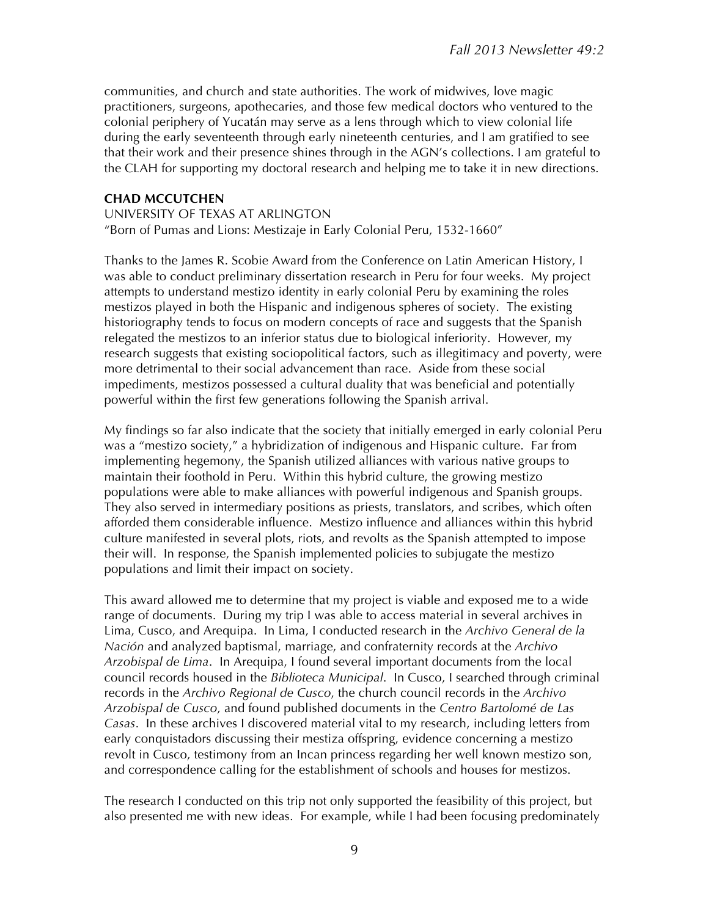communities, and church and state authorities. The work of midwives, love magic practitioners, surgeons, apothecaries, and those few medical doctors who ventured to the colonial periphery of Yucatán may serve as a lens through which to view colonial life during the early seventeenth through early nineteenth centuries, and I am gratified to see that their work and their presence shines through in the AGN's collections. I am grateful to the CLAH for supporting my doctoral research and helping me to take it in new directions.

#### **CHAD MCCUTCHEN**

UNIVERSITY OF TEXAS AT ARLINGTON "Born of Pumas and Lions: Mestizaje in Early Colonial Peru, 1532-1660"

Thanks to the James R. Scobie Award from the Conference on Latin American History, I was able to conduct preliminary dissertation research in Peru for four weeks. My project attempts to understand mestizo identity in early colonial Peru by examining the roles mestizos played in both the Hispanic and indigenous spheres of society. The existing historiography tends to focus on modern concepts of race and suggests that the Spanish relegated the mestizos to an inferior status due to biological inferiority. However, my research suggests that existing sociopolitical factors, such as illegitimacy and poverty, were more detrimental to their social advancement than race. Aside from these social impediments, mestizos possessed a cultural duality that was beneficial and potentially powerful within the first few generations following the Spanish arrival.

My findings so far also indicate that the society that initially emerged in early colonial Peru was a "mestizo society," a hybridization of indigenous and Hispanic culture. Far from implementing hegemony, the Spanish utilized alliances with various native groups to maintain their foothold in Peru. Within this hybrid culture, the growing mestizo populations were able to make alliances with powerful indigenous and Spanish groups. They also served in intermediary positions as priests, translators, and scribes, which often afforded them considerable influence. Mestizo influence and alliances within this hybrid culture manifested in several plots, riots, and revolts as the Spanish attempted to impose their will. In response, the Spanish implemented policies to subjugate the mestizo populations and limit their impact on society.

This award allowed me to determine that my project is viable and exposed me to a wide range of documents. During my trip I was able to access material in several archives in Lima, Cusco, and Arequipa. In Lima, I conducted research in the *Archivo General de la Nación* and analyzed baptismal, marriage, and confraternity records at the *Archivo Arzobispal de Lima*. In Arequipa, I found several important documents from the local council records housed in the *Biblioteca Municipal*. In Cusco, I searched through criminal records in the *Archivo Regional de Cusco*, the church council records in the *Archivo Arzobispal de Cusco*, and found published documents in the *Centro Bartolomé de Las Casas*. In these archives I discovered material vital to my research, including letters from early conquistadors discussing their mestiza offspring, evidence concerning a mestizo revolt in Cusco, testimony from an Incan princess regarding her well known mestizo son, and correspondence calling for the establishment of schools and houses for mestizos.

The research I conducted on this trip not only supported the feasibility of this project, but also presented me with new ideas. For example, while I had been focusing predominately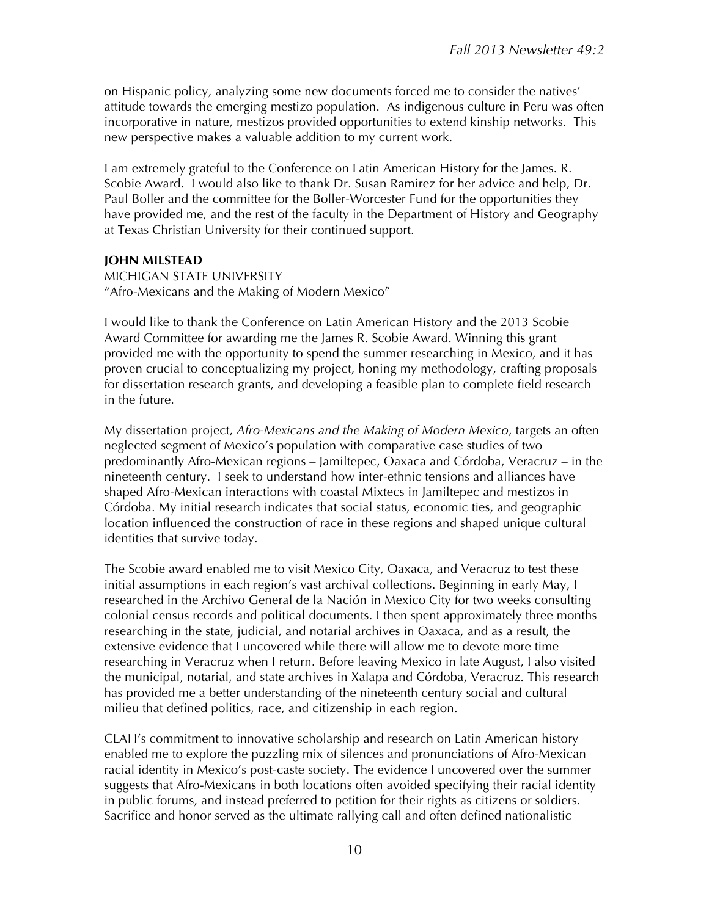on Hispanic policy, analyzing some new documents forced me to consider the natives' attitude towards the emerging mestizo population. As indigenous culture in Peru was often incorporative in nature, mestizos provided opportunities to extend kinship networks. This new perspective makes a valuable addition to my current work.

I am extremely grateful to the Conference on Latin American History for the James. R. Scobie Award. I would also like to thank Dr. Susan Ramirez for her advice and help, Dr. Paul Boller and the committee for the Boller-Worcester Fund for the opportunities they have provided me, and the rest of the faculty in the Department of History and Geography at Texas Christian University for their continued support.

#### **JOHN MILSTEAD**

MICHIGAN STATE UNIVERSITY "Afro-Mexicans and the Making of Modern Mexico"

I would like to thank the Conference on Latin American History and the 2013 Scobie Award Committee for awarding me the James R. Scobie Award. Winning this grant provided me with the opportunity to spend the summer researching in Mexico, and it has proven crucial to conceptualizing my project, honing my methodology, crafting proposals for dissertation research grants, and developing a feasible plan to complete field research in the future.

My dissertation project, *Afro-Mexicans and the Making of Modern Mexico*, targets an often neglected segment of Mexico's population with comparative case studies of two predominantly Afro-Mexican regions – Jamiltepec, Oaxaca and Córdoba, Veracruz – in the nineteenth century. I seek to understand how inter-ethnic tensions and alliances have shaped Afro-Mexican interactions with coastal Mixtecs in Jamiltepec and mestizos in Córdoba. My initial research indicates that social status, economic ties, and geographic location influenced the construction of race in these regions and shaped unique cultural identities that survive today.

The Scobie award enabled me to visit Mexico City, Oaxaca, and Veracruz to test these initial assumptions in each region's vast archival collections. Beginning in early May, I researched in the Archivo General de la Nación in Mexico City for two weeks consulting colonial census records and political documents. I then spent approximately three months researching in the state, judicial, and notarial archives in Oaxaca, and as a result, the extensive evidence that I uncovered while there will allow me to devote more time researching in Veracruz when I return. Before leaving Mexico in late August, I also visited the municipal, notarial, and state archives in Xalapa and Córdoba, Veracruz. This research has provided me a better understanding of the nineteenth century social and cultural milieu that defined politics, race, and citizenship in each region.

CLAH's commitment to innovative scholarship and research on Latin American history enabled me to explore the puzzling mix of silences and pronunciations of Afro-Mexican racial identity in Mexico's post-caste society. The evidence I uncovered over the summer suggests that Afro-Mexicans in both locations often avoided specifying their racial identity in public forums, and instead preferred to petition for their rights as citizens or soldiers. Sacrifice and honor served as the ultimate rallying call and often defined nationalistic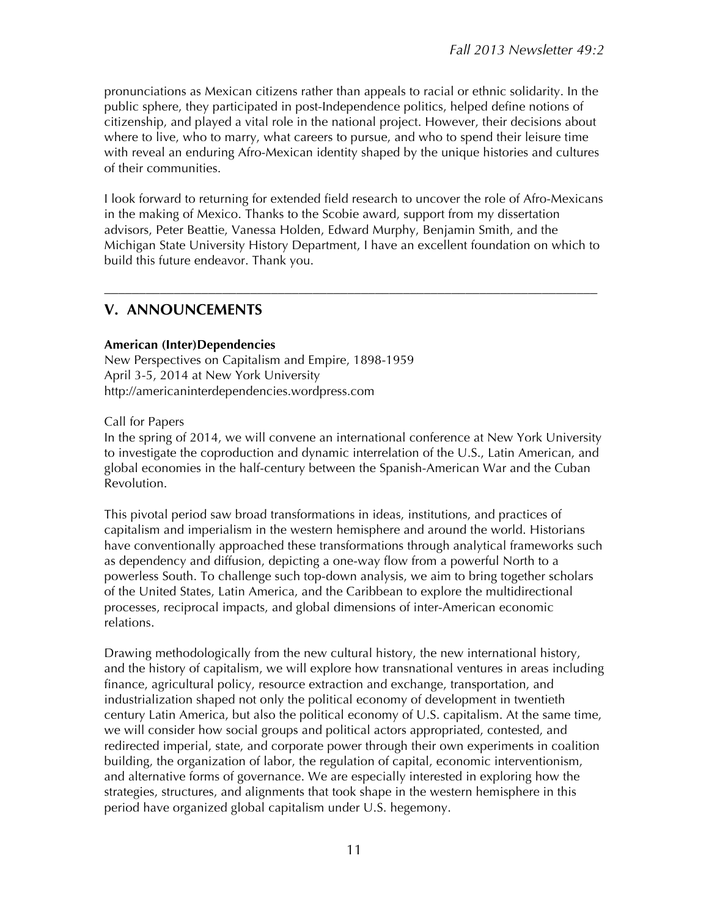pronunciations as Mexican citizens rather than appeals to racial or ethnic solidarity. In the public sphere, they participated in post-Independence politics, helped define notions of citizenship, and played a vital role in the national project. However, their decisions about where to live, who to marry, what careers to pursue, and who to spend their leisure time with reveal an enduring Afro-Mexican identity shaped by the unique histories and cultures of their communities.

I look forward to returning for extended field research to uncover the role of Afro-Mexicans in the making of Mexico. Thanks to the Scobie award, support from my dissertation advisors, Peter Beattie, Vanessa Holden, Edward Murphy, Benjamin Smith, and the Michigan State University History Department, I have an excellent foundation on which to build this future endeavor. Thank you.

–––––––––––––––––––––––––––––––––––––––––––––––––––––––––––––––––––––––

### **V. ANNOUNCEMENTS**

#### **American (Inter)Dependencies**

New Perspectives on Capitalism and Empire, 1898-1959 April 3-5, 2014 at New York University http://americaninterdependencies.wordpress.com

Call for Papers

In the spring of 2014, we will convene an international conference at New York University to investigate the coproduction and dynamic interrelation of the U.S., Latin American, and global economies in the half-century between the Spanish-American War and the Cuban Revolution.

This pivotal period saw broad transformations in ideas, institutions, and practices of capitalism and imperialism in the western hemisphere and around the world. Historians have conventionally approached these transformations through analytical frameworks such as dependency and diffusion, depicting a one-way flow from a powerful North to a powerless South. To challenge such top-down analysis, we aim to bring together scholars of the United States, Latin America, and the Caribbean to explore the multidirectional processes, reciprocal impacts, and global dimensions of inter-American economic relations.

Drawing methodologically from the new cultural history, the new international history, and the history of capitalism, we will explore how transnational ventures in areas including finance, agricultural policy, resource extraction and exchange, transportation, and industrialization shaped not only the political economy of development in twentieth century Latin America, but also the political economy of U.S. capitalism. At the same time, we will consider how social groups and political actors appropriated, contested, and redirected imperial, state, and corporate power through their own experiments in coalition building, the organization of labor, the regulation of capital, economic interventionism, and alternative forms of governance. We are especially interested in exploring how the strategies, structures, and alignments that took shape in the western hemisphere in this period have organized global capitalism under U.S. hegemony.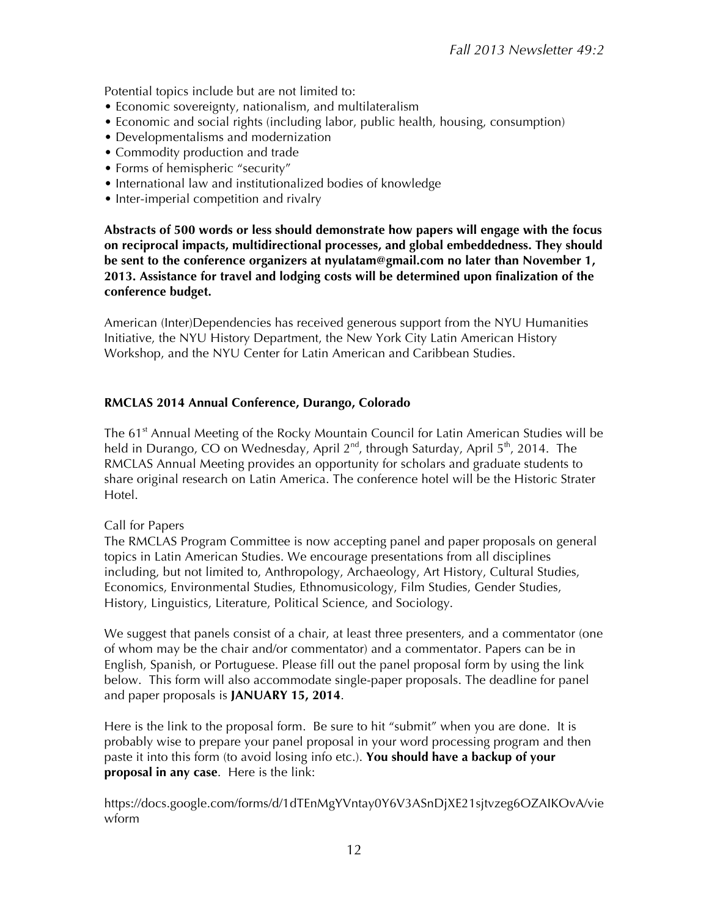Potential topics include but are not limited to:

- Economic sovereignty, nationalism, and multilateralism
- Economic and social rights (including labor, public health, housing, consumption)
- Developmentalisms and modernization
- Commodity production and trade
- Forms of hemispheric "security"
- International law and institutionalized bodies of knowledge
- Inter-imperial competition and rivalry

**Abstracts of 500 words or less should demonstrate how papers will engage with the focus on reciprocal impacts, multidirectional processes, and global embeddedness. They should be sent to the conference organizers at nyulatam@gmail.com no later than November 1, 2013. Assistance for travel and lodging costs will be determined upon finalization of the conference budget.**

American (Inter)Dependencies has received generous support from the NYU Humanities Initiative, the NYU History Department, the New York City Latin American History Workshop, and the NYU Center for Latin American and Caribbean Studies.

#### **RMCLAS 2014 Annual Conference, Durango, Colorado**

The 61<sup>st</sup> Annual Meeting of the Rocky Mountain Council for Latin American Studies will be held in Durango, CO on Wednesday, April 2<sup>nd</sup>, through Saturday, April 5<sup>th</sup>, 2014. The RMCLAS Annual Meeting provides an opportunity for scholars and graduate students to share original research on Latin America. The conference hotel will be the Historic Strater Hotel.

#### Call for Papers

The RMCLAS Program Committee is now accepting panel and paper proposals on general topics in Latin American Studies. We encourage presentations from all disciplines including, but not limited to, Anthropology, Archaeology, Art History, Cultural Studies, Economics, Environmental Studies, Ethnomusicology, Film Studies, Gender Studies, History, Linguistics, Literature, Political Science, and Sociology.

We suggest that panels consist of a chair, at least three presenters, and a commentator (one of whom may be the chair and/or commentator) and a commentator. Papers can be in English, Spanish, or Portuguese. Please fill out the panel proposal form by using the link below. This form will also accommodate single-paper proposals. The deadline for panel and paper proposals is **JANUARY 15, 2014**.

Here is the link to the proposal form. Be sure to hit "submit" when you are done. It is probably wise to prepare your panel proposal in your word processing program and then paste it into this form (to avoid losing info etc.). **You should have a backup of your proposal in any case**. Here is the link:

https://docs.google.com/forms/d/1dTEnMgYVntay0Y6V3ASnDjXE21sjtvzeg6OZAIKOvA/vie wform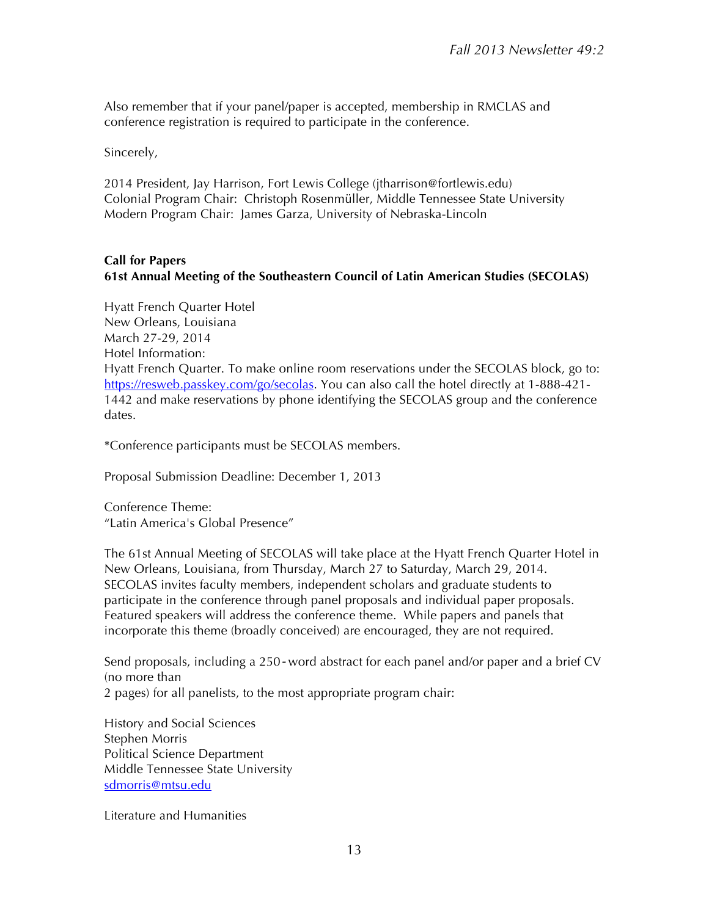Also remember that if your panel/paper is accepted, membership in RMCLAS and conference registration is required to participate in the conference.

Sincerely,

2014 President, Jay Harrison, Fort Lewis College (jtharrison@fortlewis.edu) Colonial Program Chair: Christoph Rosenmüller, Middle Tennessee State University Modern Program Chair: James Garza, University of Nebraska-Lincoln

#### **Call for Papers 61st Annual Meeting of the Southeastern Council of Latin American Studies (SECOLAS)**

Hyatt French Quarter Hotel New Orleans, Louisiana March 27-29, 2014 Hotel Information: Hyatt French Quarter. To make online room reservations under the SECOLAS block, go to: https://resweb.passkey.com/go/secolas. You can also call the hotel directly at 1-888-421-1442 and make reservations by phone identifying the SECOLAS group and the conference dates.

\*Conference participants must be SECOLAS members.

Proposal Submission Deadline: December 1, 2013

Conference Theme: "Latin America's Global Presence"

The 61st Annual Meeting of SECOLAS will take place at the Hyatt French Quarter Hotel in New Orleans, Louisiana, from Thursday, March 27 to Saturday, March 29, 2014. SECOLAS invites faculty members, independent scholars and graduate students to participate in the conference through panel proposals and individual paper proposals. Featured speakers will address the conference theme. While papers and panels that incorporate this theme (broadly conceived) are encouraged, they are not required.

Send proposals, including a 250*‐*word abstract for each panel and/or paper and a brief CV (no more than

2 pages) for all panelists, to the most appropriate program chair:

History and Social Sciences Stephen Morris Political Science Department Middle Tennessee State University sdmorris@mtsu.edu

Literature and Humanities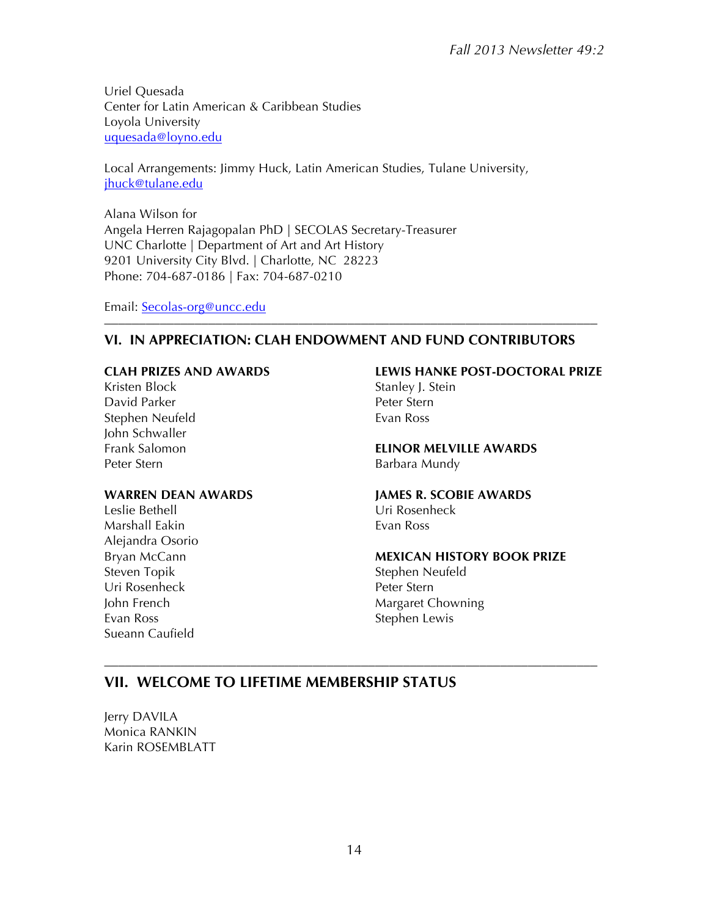Uriel Quesada Center for Latin American & Caribbean Studies Loyola University uquesada@loyno.edu

Local Arrangements: Jimmy Huck, Latin American Studies, Tulane University, jhuck@tulane.edu

Alana Wilson for Angela Herren Rajagopalan PhD | SECOLAS Secretary-Treasurer UNC Charlotte | Department of Art and Art History 9201 University City Blvd. | Charlotte, NC 28223 Phone: 704-687-0186 | Fax: 704-687-0210

Email: Secolas-org@uncc.edu

#### **VI. IN APPRECIATION: CLAH ENDOWMENT AND FUND CONTRIBUTORS**

–––––––––––––––––––––––––––––––––––––––––––––––––––––––––––––––––––––––

#### **CLAH PRIZES AND AWARDS**

Kristen Block David Parker Stephen Neufeld John Schwaller Frank Salomon Peter Stern

#### **WARREN DEAN AWARDS**

Leslie Bethell Marshall Eakin Alejandra Osorio Bryan McCann Steven Topik Uri Rosenheck John French Evan Ross Sueann Caufield

#### **LEWIS HANKE POST-DOCTORAL PRIZE**

Stanley J. Stein Peter Stern Evan Ross

**ELINOR MELVILLE AWARDS** Barbara Mundy

#### **JAMES R. SCOBIE AWARDS**

Uri Rosenheck Evan Ross

#### **MEXICAN HISTORY BOOK PRIZE**

Stephen Neufeld Peter Stern Margaret Chowning Stephen Lewis

### **VII. WELCOME TO LIFETIME MEMBERSHIP STATUS**

Jerry DAVILA Monica RANKIN Karin ROSEMBLATT

–––––––––––––––––––––––––––––––––––––––––––––––––––––––––––––––––––––––